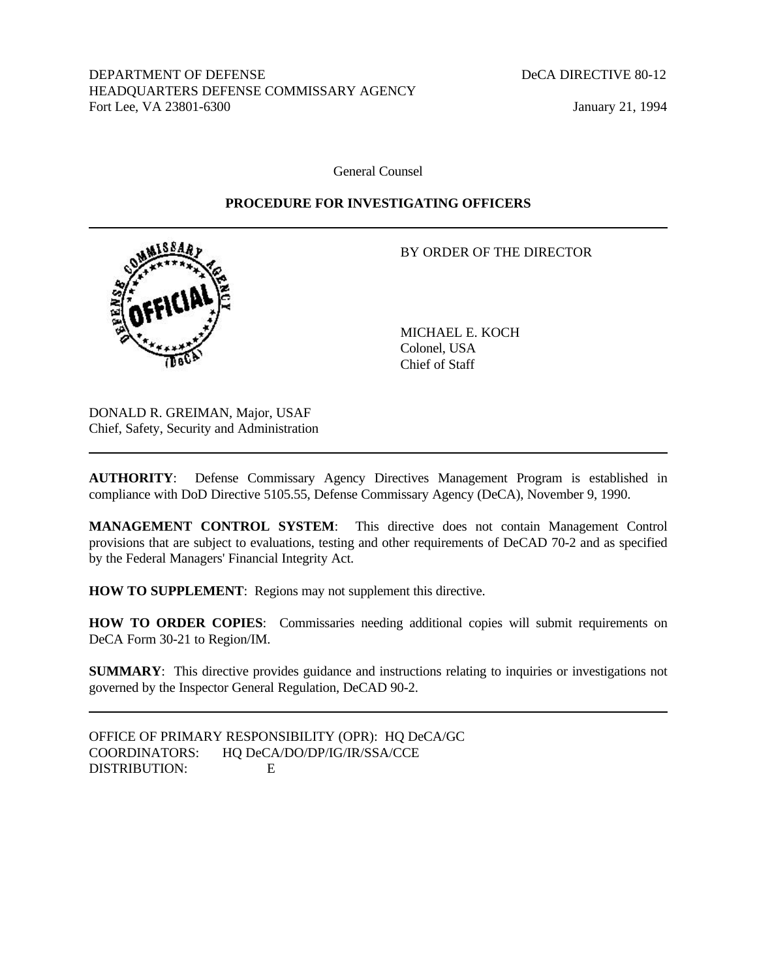DEPARTMENT OF DEFENSE DECA DIRECTIVE 80-12 HEADQUARTERS DEFENSE COMMISSARY AGENCY Fort Lee, VA 23801-6300 January 21, 1994

General Counsel

## **PROCEDURE FOR INVESTIGATING OFFICERS**



BY ORDER OF THE DIRECTOR

MICHAEL E. KOCH Colonel, USA Chief of Staff

DONALD R. GREIMAN, Major, USAF Chief, Safety, Security and Administration

**AUTHORITY**: Defense Commissary Agency Directives Management Program is established in compliance with DoD Directive 5105.55, Defense Commissary Agency (DeCA), November 9, 1990.

**MANAGEMENT CONTROL SYSTEM**: This directive does not contain Management Control provisions that are subject to evaluations, testing and other requirements of DeCAD 70-2 and as specified by the Federal Managers' Financial Integrity Act.

**HOW TO SUPPLEMENT**: Regions may not supplement this directive.

**HOW TO ORDER COPIES**: Commissaries needing additional copies will submit requirements on DeCA Form 30-21 to Region/IM.

**SUMMARY**: This directive provides guidance and instructions relating to inquiries or investigations not governed by the Inspector General Regulation, DeCAD 90-2.

OFFICE OF PRIMARY RESPONSIBILITY (OPR): HQ DeCA/GC COORDINATORS: HQ DeCA/DO/DP/IG/IR/SSA/CCE DISTRIBUTION: E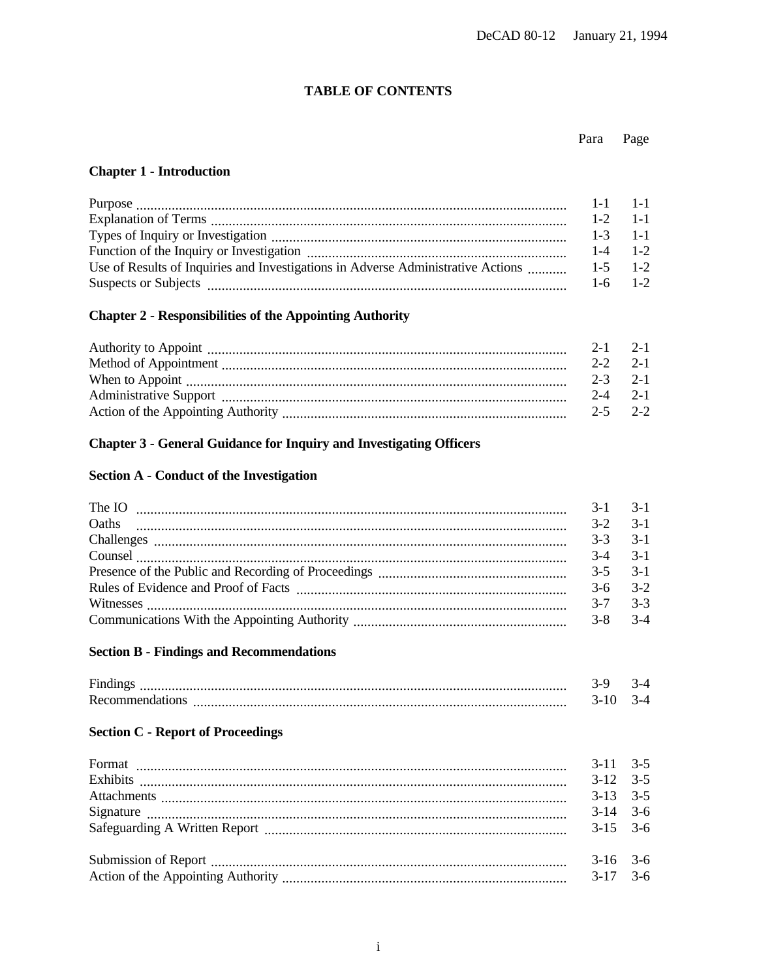## **TABLE OF CONTENTS**

#### Para Page

## **Chapter 1 - Introduction**

|                                                                                          |             | $1-2$ 1-1 |
|------------------------------------------------------------------------------------------|-------------|-----------|
|                                                                                          | $1-3$ 1-1   |           |
|                                                                                          | $1-4$ $1-2$ |           |
| Use of Results of Inquiries and Investigations in Adverse Administrative Actions 1-5 1-2 |             |           |
|                                                                                          | $1-6$ $1-2$ |           |

# **Chapter 2 - Responsibilities of the Appointing Authority**

| $2-2$ $2-1$     |  |
|-----------------|--|
| $2 - 3$ $2 - 1$ |  |
| $2-4$ 2-1       |  |
| $2 - 5$ $2 - 2$ |  |

# **Chapter 3 - General Guidance for Inquiry and Investigating Officers**

## **Section A - Conduct of the Investigation**

| The IO <b>Example 20 CONSUMER</b> 20 <b>CONSUMER</b> 20 <b>CONSUMER</b> 20 <b>CONSUMER</b> 20 <b>CONSUMER</b> 20 <b>CONSUMER</b> 20 <b>CONSUMER</b> 20 <b>CONSUMER</b> 20 <b>CONSUMER</b> 20 <b>CONSUMER</b> 20 <b>CONSUMER</b> 20 <b>CONSUMER</b> 20 <b>CONSUMER</b> 20 <b>CONSUMER</b> 20 <b>CONSU</b>                                                                                                                                                                  |             | $3-1$ $3-1$ |
|---------------------------------------------------------------------------------------------------------------------------------------------------------------------------------------------------------------------------------------------------------------------------------------------------------------------------------------------------------------------------------------------------------------------------------------------------------------------------|-------------|-------------|
| Oaths                                                                                                                                                                                                                                                                                                                                                                                                                                                                     | $3-2$ $3-1$ |             |
|                                                                                                                                                                                                                                                                                                                                                                                                                                                                           |             | $3-3$ $3-1$ |
| $\textbf{Course} \quad \textcolor{red}{\overbrace{ \textcolor{blue}{ \textbf{1} } \textbf{1} } \textbf{1} } \textcolor{red}{ \textbf{1} } \textbf{2} } \textcolor{red}{ \textbf{1} } \textbf{2} } \textcolor{red}{ \textbf{2} } \textbf{3} } \textcolor{red}{ \textbf{4} } \textbf{4} } \textcolor{red}{ \textbf{5} } \textbf{5} \textbf{6} \textbf{7} \textbf{8} \textbf{8} \textbf{9} \textbf{10} \textbf{10} \textbf{11} \textbf{12} \textbf{13} \textbf{13} \textbf{$ | $3-4$ $3-1$ |             |
|                                                                                                                                                                                                                                                                                                                                                                                                                                                                           |             |             |
|                                                                                                                                                                                                                                                                                                                                                                                                                                                                           | $3-6$ $3-2$ |             |
|                                                                                                                                                                                                                                                                                                                                                                                                                                                                           |             | $3-7$ $3-3$ |
|                                                                                                                                                                                                                                                                                                                                                                                                                                                                           | $3-8$ $3-4$ |             |

## **Section B - Findings and Recommendations**

| <b>Findit</b>   |  |
|-----------------|--|
| Recommendations |  |

## **Section C - Report of Proceedings**

| $3-11$ $3-5$ |  |
|--------------|--|
| $3-12$ $3-5$ |  |
| $3-13$ $3-5$ |  |
| $3-14$ $3-6$ |  |
| $3-15$ $3-6$ |  |
|              |  |
| $3-16$ 3-6   |  |
|              |  |
|              |  |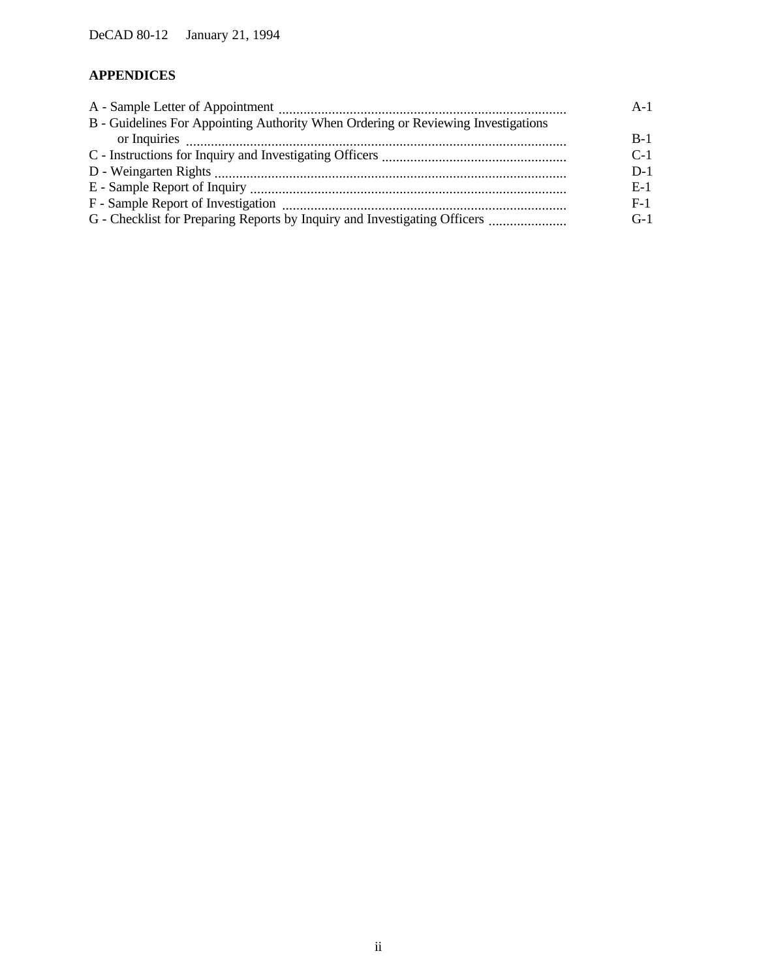# **APPENDICES**

| B - Guidelines For Appointing Authority When Ordering or Reviewing Investigations |       |
|-----------------------------------------------------------------------------------|-------|
|                                                                                   | $B-1$ |
|                                                                                   | $C-1$ |
|                                                                                   | $D-1$ |
|                                                                                   | $E-1$ |
|                                                                                   | $F-1$ |
|                                                                                   | $G-1$ |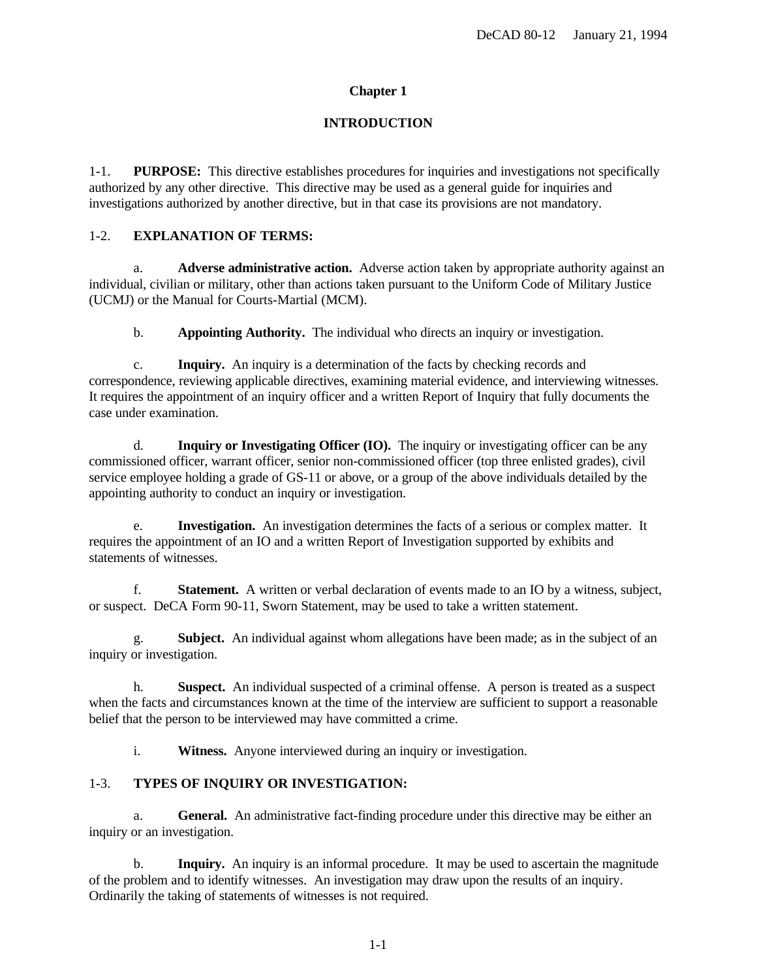## **Chapter 1**

## **INTRODUCTION**

<span id="page-3-0"></span>1-1. **PURPOSE:** This directive establishes procedures for inquiries and investigations not specifically authorized by any other directive. This directive may be used as a general guide for inquiries and investigations authorized by another directive, but in that case its provisions are not mandatory.

## 1-2. **EXPLANATION OF TERMS:**

a. **Adverse administrative action.** Adverse action taken by appropriate authority against an individual, civilian or military, other than actions taken pursuant to the Uniform Code of Military Justice (UCMJ) or the Manual for Courts-Martial (MCM).

b. **Appointing Authority.** The individual who directs an inquiry or investigation.

c. **Inquiry.** An inquiry is a determination of the facts by checking records and correspondence, reviewing applicable directives, examining material evidence, and interviewing witnesses. It requires the appointment of an inquiry officer and a written Report of Inquiry that fully documents the case under examination.

d. **Inquiry or Investigating Officer (IO).** The inquiry or investigating officer can be any commissioned officer, warrant officer, senior non-commissioned officer (top three enlisted grades), civil service employee holding a grade of GS-11 or above, or a group of the above individuals detailed by the appointing authority to conduct an inquiry or investigation.

e. **Investigation.** An investigation determines the facts of a serious or complex matter. It requires the appointment of an IO and a written Report of Investigation supported by exhibits and statements of witnesses.

f. **Statement.** A written or verbal declaration of events made to an IO by a witness, subject, or suspect. DeCA Form 90-11, Sworn Statement, may be used to take a written statement.

g. **Subject.** An individual against whom allegations have been made; as in the subject of an inquiry or investigation.

h. **Suspect.** An individual suspected of a criminal offense. A person is treated as a suspect when the facts and circumstances known at the time of the interview are sufficient to support a reasonable belief that the person to be interviewed may have committed a crime.

i. **Witness.** Anyone interviewed during an inquiry or investigation.

## 1-3. **TYPES OF INQUIRY OR INVESTIGATION:**

a. **General.** An administrative fact-finding procedure under this directive may be either an inquiry or an investigation.

b. **Inquiry.** An inquiry is an informal procedure. It may be used to ascertain the magnitude of the problem and to identify witnesses. An investigation may draw upon the results of an inquiry. Ordinarily the taking of statements of witnesses is not required.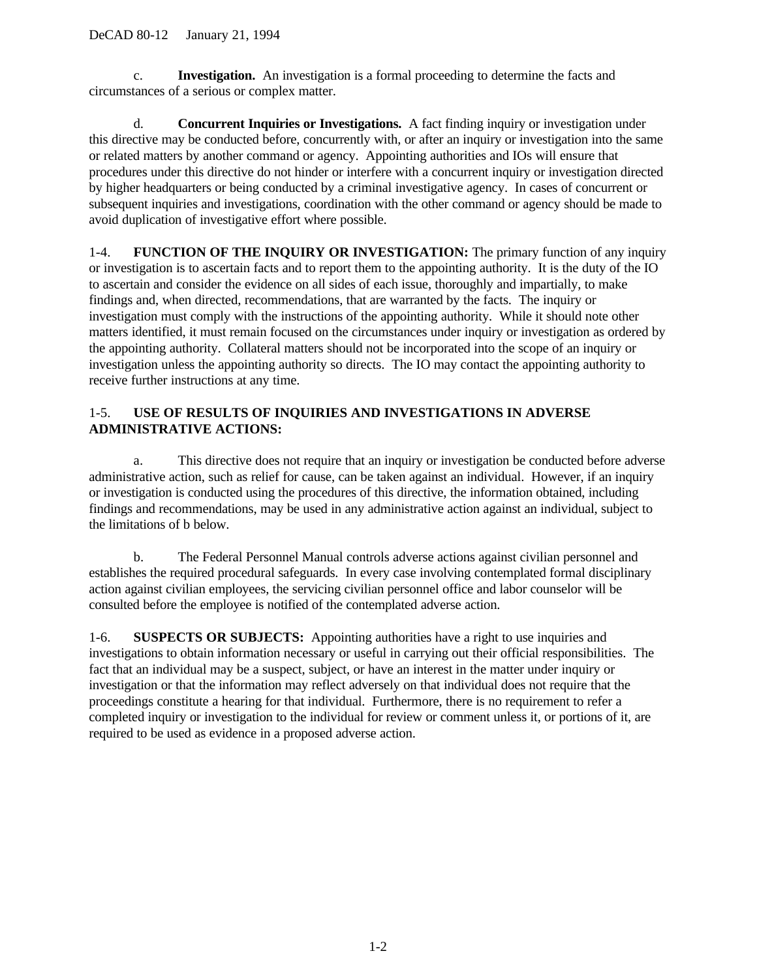<span id="page-4-0"></span>c. **Investigation.** An investigation is a formal proceeding to determine the facts and circumstances of a serious or complex matter.

d. **Concurrent Inquiries or Investigations.** A fact finding inquiry or investigation under this directive may be conducted before, concurrently with, or after an inquiry or investigation into the same or related matters by another command or agency. Appointing authorities and IOs will ensure that procedures under this directive do not hinder or interfere with a concurrent inquiry or investigation directed by higher headquarters or being conducted by a criminal investigative agency. In cases of concurrent or subsequent inquiries and investigations, coordination with the other command or agency should be made to avoid duplication of investigative effort where possible.

1-4. **FUNCTION OF THE INQUIRY OR INVESTIGATION:** The primary function of any inquiry or investigation is to ascertain facts and to report them to the appointing authority. It is the duty of the IO to ascertain and consider the evidence on all sides of each issue, thoroughly and impartially, to make findings and, when directed, recommendations, that are warranted by the facts. The inquiry or investigation must comply with the instructions of the appointing authority. While it should note other matters identified, it must remain focused on the circumstances under inquiry or investigation as ordered by the appointing authority. Collateral matters should not be incorporated into the scope of an inquiry or investigation unless the appointing authority so directs. The IO may contact the appointing authority to receive further instructions at any time.

## 1-5. **USE OF RESULTS OF INQUIRIES AND INVESTIGATIONS IN ADVERSE ADMINISTRATIVE ACTIONS:**

a. This directive does not require that an inquiry or investigation be conducted before adverse administrative action, such as relief for cause, can be taken against an individual. However, if an inquiry or investigation is conducted using the procedures of this directive, the information obtained, including findings and recommendations, may be used in any administrative action against an individual, subject to the limitations of b below.

b. The Federal Personnel Manual controls adverse actions against civilian personnel and establishes the required procedural safeguards. In every case involving contemplated formal disciplinary action against civilian employees, the servicing civilian personnel office and labor counselor will be consulted before the employee is notified of the contemplated adverse action.

1-6. **SUSPECTS OR SUBJECTS:** Appointing authorities have a right to use inquiries and investigations to obtain information necessary or useful in carrying out their official responsibilities. The fact that an individual may be a suspect, subject, or have an interest in the matter under inquiry or investigation or that the information may reflect adversely on that individual does not require that the proceedings constitute a hearing for that individual. Furthermore, there is no requirement to refer a completed inquiry or investigation to the individual for review or comment unless it, or portions of it, are required to be used as evidence in a proposed adverse action.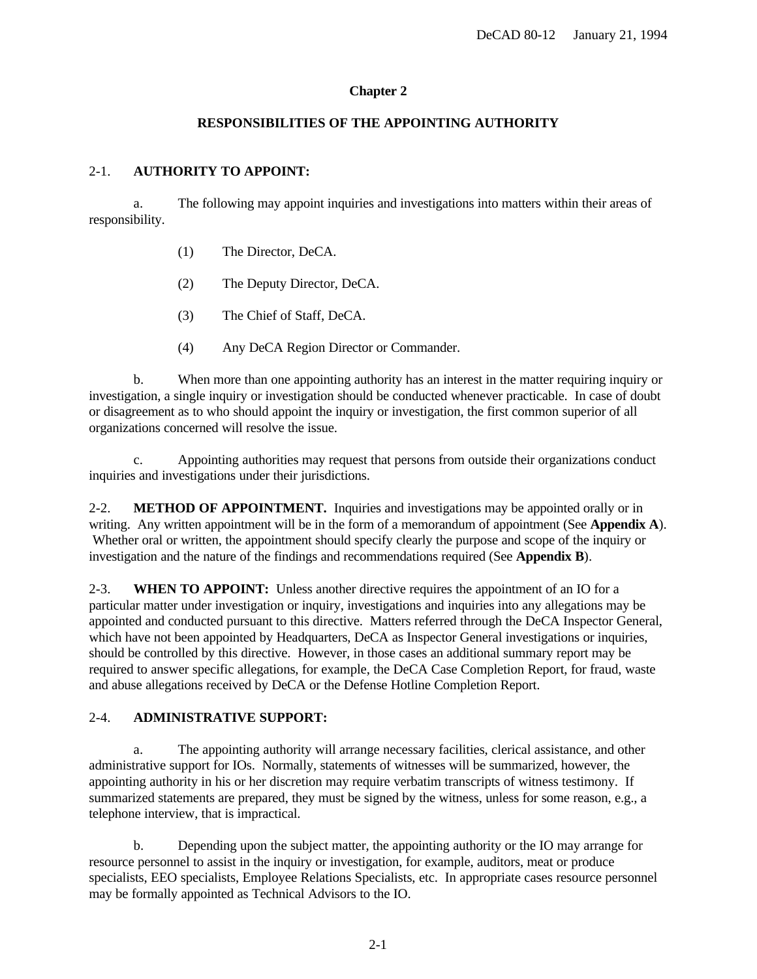## **Chapter 2**

## **RESPONSIBILITIES OF THE APPOINTING AUTHORITY**

## <span id="page-5-0"></span>2-1. **AUTHORITY TO APPOINT:**

a. The following may appoint inquiries and investigations into matters within their areas of responsibility.

- (1) The Director, DeCA.
- (2) The Deputy Director, DeCA.
- (3) The Chief of Staff, DeCA.
- (4) Any DeCA Region Director or Commander.

b. When more than one appointing authority has an interest in the matter requiring inquiry or investigation, a single inquiry or investigation should be conducted whenever practicable. In case of doubt or disagreement as to who should appoint the inquiry or investigation, the first common superior of all organizations concerned will resolve the issue.

c. Appointing authorities may request that persons from outside their organizations conduct inquiries and investigations under their jurisdictions.

2-2. **METHOD OF APPOINTMENT.** Inquiries and investigations may be appointed orally or in writing. Any written appointment will be in the form of a memorandum of appointment (See **[Appendix A](#page-13-0)**). Whether oral or written, the appointment should specify clearly the purpose and scope of the inquiry or investigation and the nature of the findings and recommendations required (See **[Appendix B](#page-14-0)**).

2-3. **WHEN TO APPOINT:** Unless another directive requires the appointment of an IO for a particular matter under investigation or inquiry, investigations and inquiries into any allegations may be appointed and conducted pursuant to this directive. Matters referred through the DeCA Inspector General, which have not been appointed by Headquarters, DeCA as Inspector General investigations or inquiries, should be controlled by this directive. However, in those cases an additional summary report may be required to answer specific allegations, for example, the DeCA Case Completion Report, for fraud, waste and abuse allegations received by DeCA or the Defense Hotline Completion Report.

## 2-4. **ADMINISTRATIVE SUPPORT:**

a. The appointing authority will arrange necessary facilities, clerical assistance, and other administrative support for IOs. Normally, statements of witnesses will be summarized, however, the appointing authority in his or her discretion may require verbatim transcripts of witness testimony. If summarized statements are prepared, they must be signed by the witness, unless for some reason, e.g., a telephone interview, that is impractical.

b. Depending upon the subject matter, the appointing authority or the IO may arrange for resource personnel to assist in the inquiry or investigation, for example, auditors, meat or produce specialists, EEO specialists, Employee Relations Specialists, etc. In appropriate cases resource personnel may be formally appointed as Technical Advisors to the IO.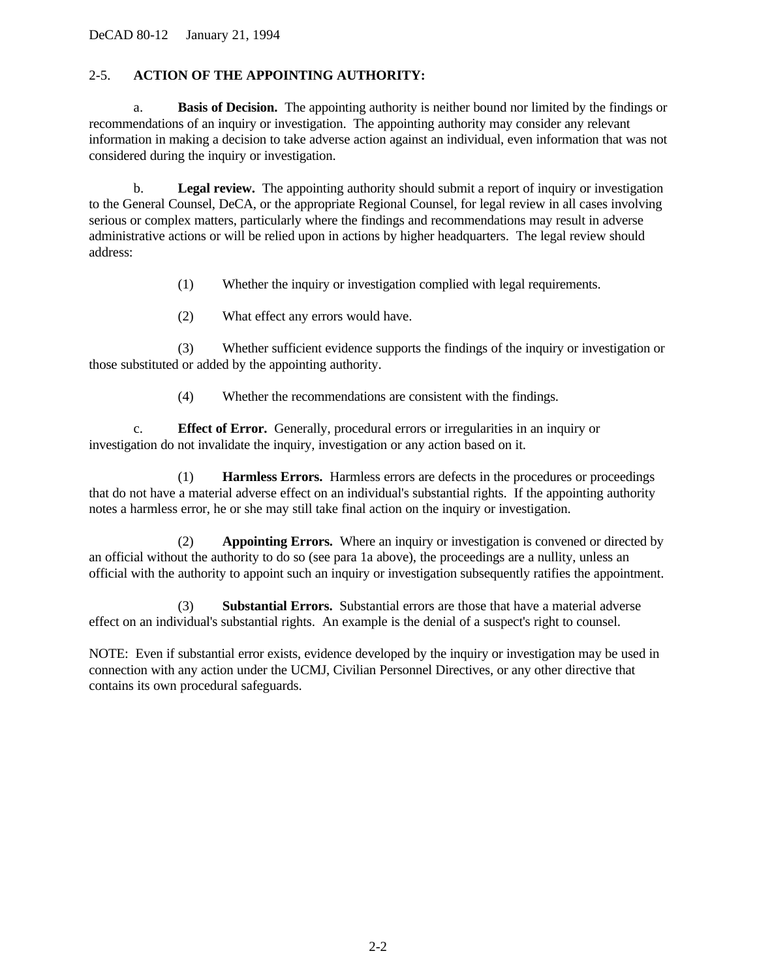<span id="page-6-0"></span>DeCAD 80-12 January 21, 1994

## 2-5. **ACTION OF THE APPOINTING AUTHORITY:**

a. **Basis of Decision.** The appointing authority is neither bound nor limited by the findings or recommendations of an inquiry or investigation. The appointing authority may consider any relevant information in making a decision to take adverse action against an individual, even information that was not considered during the inquiry or investigation.

b. **Legal review.** The appointing authority should submit a report of inquiry or investigation to the General Counsel, DeCA, or the appropriate Regional Counsel, for legal review in all cases involving serious or complex matters, particularly where the findings and recommendations may result in adverse administrative actions or will be relied upon in actions by higher headquarters. The legal review should address:

- (1) Whether the inquiry or investigation complied with legal requirements.
- (2) What effect any errors would have.

(3) Whether sufficient evidence supports the findings of the inquiry or investigation or those substituted or added by the appointing authority.

(4) Whether the recommendations are consistent with the findings.

c. **Effect of Error.** Generally, procedural errors or irregularities in an inquiry or investigation do not invalidate the inquiry, investigation or any action based on it.

(1) **Harmless Errors.** Harmless errors are defects in the procedures or proceedings that do not have a material adverse effect on an individual's substantial rights. If the appointing authority notes a harmless error, he or she may still take final action on the inquiry or investigation.

(2) **Appointing Errors.** Where an inquiry or investigation is convened or directed by an official without the authority to do so (see para 1a above), the proceedings are a nullity, unless an official with the authority to appoint such an inquiry or investigation subsequently ratifies the appointment.

(3) **Substantial Errors.** Substantial errors are those that have a material adverse effect on an individual's substantial rights. An example is the denial of a suspect's right to counsel.

NOTE: Even if substantial error exists, evidence developed by the inquiry or investigation may be used in connection with any action under the UCMJ, Civilian Personnel Directives, or any other directive that contains its own procedural safeguards.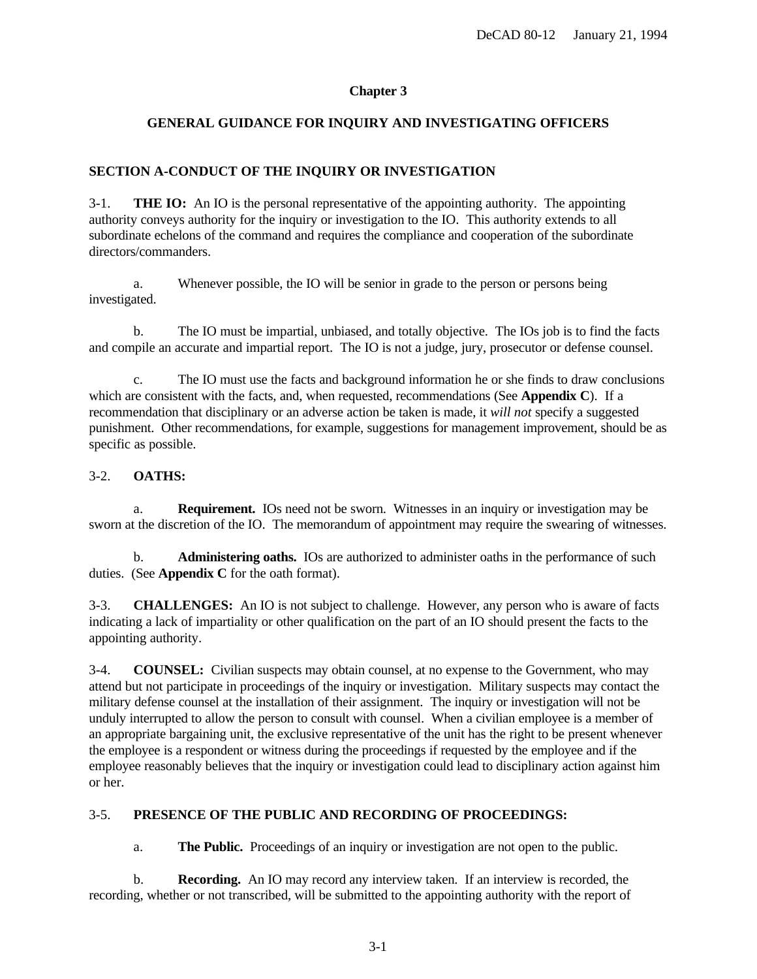## **Chapter 3**

## <span id="page-7-0"></span>**GENERAL GUIDANCE FOR INQUIRY AND INVESTIGATING OFFICERS**

## **SECTION A-CONDUCT OF THE INQUIRY OR INVESTIGATION**

3-1. **THE IO:** An IO is the personal representative of the appointing authority. The appointing authority conveys authority for the inquiry or investigation to the IO. This authority extends to all subordinate echelons of the command and requires the compliance and cooperation of the subordinate directors/commanders.

a. Whenever possible, the IO will be senior in grade to the person or persons being investigated.

b. The IO must be impartial, unbiased, and totally objective. The IOs job is to find the facts and compile an accurate and impartial report. The IO is not a judge, jury, prosecutor or defense counsel.

c. The IO must use the facts and background information he or she finds to draw conclusions which are consistent with the facts, and, when requested, recommendations (See **[Appendix C](#page-15-0)**). If a recommendation that disciplinary or an adverse action be taken is made, it *will not* specify a suggested punishment. Other recommendations, for example, suggestions for management improvement, should be as specific as possible.

## 3-2. **OATHS:**

a. **Requirement.** IOs need not be sworn. Witnesses in an inquiry or investigation may be sworn at the discretion of the IO. The memorandum of appointment may require the swearing of witnesses.

b. **Administering oaths.** IOs are authorized to administer oaths in the performance of such duties. (See **[Appendix C](#page-15-0)** for the oath format).

3-3. **CHALLENGES:** An IO is not subject to challenge. However, any person who is aware of facts indicating a lack of impartiality or other qualification on the part of an IO should present the facts to the appointing authority.

3-4. **COUNSEL:** Civilian suspects may obtain counsel, at no expense to the Government, who may attend but not participate in proceedings of the inquiry or investigation. Military suspects may contact the military defense counsel at the installation of their assignment. The inquiry or investigation will not be unduly interrupted to allow the person to consult with counsel. When a civilian employee is a member of an appropriate bargaining unit, the exclusive representative of the unit has the right to be present whenever the employee is a respondent or witness during the proceedings if requested by the employee and if the employee reasonably believes that the inquiry or investigation could lead to disciplinary action against him or her.

## 3-5. **PRESENCE OF THE PUBLIC AND RECORDING OF PROCEEDINGS:**

a. **The Public.** Proceedings of an inquiry or investigation are not open to the public.

b. **Recording.** An IO may record any interview taken. If an interview is recorded, the recording, whether or not transcribed, will be submitted to the appointing authority with the report of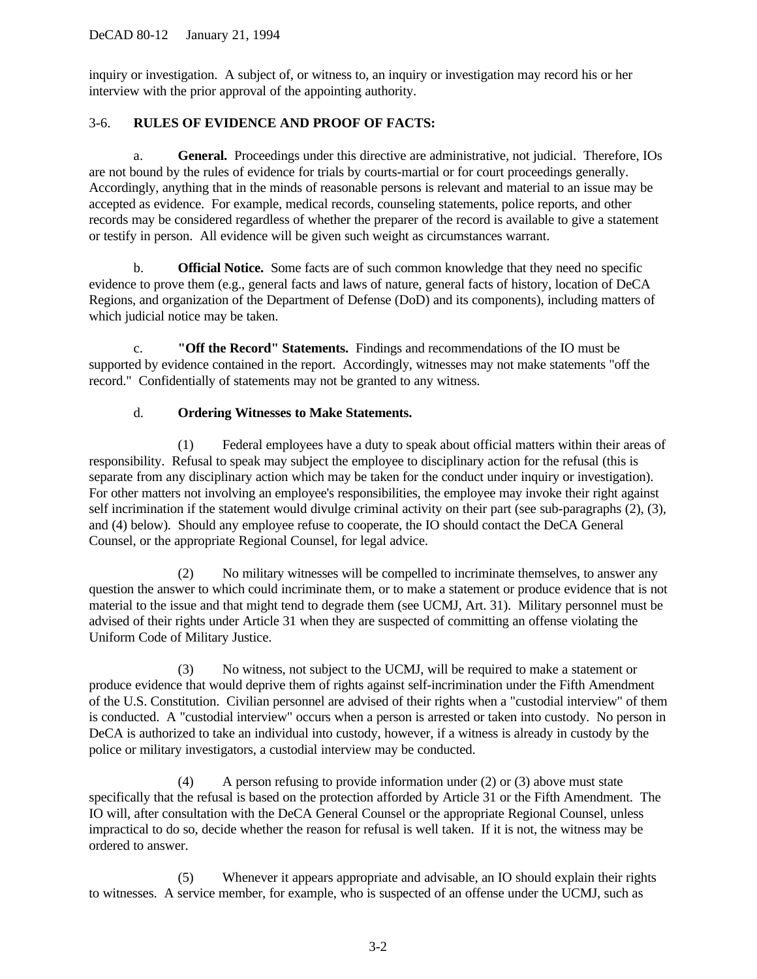<span id="page-8-0"></span>inquiry or investigation. A subject of, or witness to, an inquiry or investigation may record his or her interview with the prior approval of the appointing authority.

## 3-6. **RULES OF EVIDENCE AND PROOF OF FACTS:**

a. **General.** Proceedings under this directive are administrative, not judicial. Therefore, IOs are not bound by the rules of evidence for trials by courts-martial or for court proceedings generally. Accordingly, anything that in the minds of reasonable persons is relevant and material to an issue may be accepted as evidence. For example, medical records, counseling statements, police reports, and other records may be considered regardless of whether the preparer of the record is available to give a statement or testify in person. All evidence will be given such weight as circumstances warrant.

b. **Official Notice.** Some facts are of such common knowledge that they need no specific evidence to prove them (e.g., general facts and laws of nature, general facts of history, location of DeCA Regions, and organization of the Department of Defense (DoD) and its components), including matters of which judicial notice may be taken.

c. **"Off the Record" Statements.** Findings and recommendations of the IO must be supported by evidence contained in the report. Accordingly, witnesses may not make statements "off the record." Confidentially of statements may not be granted to any witness.

## d. **Ordering Witnesses to Make Statements.**

(1) Federal employees have a duty to speak about official matters within their areas of responsibility. Refusal to speak may subject the employee to disciplinary action for the refusal (this is separate from any disciplinary action which may be taken for the conduct under inquiry or investigation). For other matters not involving an employee's responsibilities, the employee may invoke their right against self incrimination if the statement would divulge criminal activity on their part (see sub-paragraphs (2), (3), and (4) below). Should any employee refuse to cooperate, the IO should contact the DeCA General Counsel, or the appropriate Regional Counsel, for legal advice.

(2) No military witnesses will be compelled to incriminate themselves, to answer any question the answer to which could incriminate them, or to make a statement or produce evidence that is not material to the issue and that might tend to degrade them (see UCMJ, Art. 31). Military personnel must be advised of their rights under Article 31 when they are suspected of committing an offense violating the Uniform Code of Military Justice.

(3) No witness, not subject to the UCMJ, will be required to make a statement or produce evidence that would deprive them of rights against self-incrimination under the Fifth Amendment of the U.S. Constitution. Civilian personnel are advised of their rights when a "custodial interview" of them is conducted. A "custodial interview" occurs when a person is arrested or taken into custody. No person in DeCA is authorized to take an individual into custody, however, if a witness is already in custody by the police or military investigators, a custodial interview may be conducted.

(4) A person refusing to provide information under (2) or (3) above must state specifically that the refusal is based on the protection afforded by Article 31 or the Fifth Amendment. The IO will, after consultation with the DeCA General Counsel or the appropriate Regional Counsel, unless impractical to do so, decide whether the reason for refusal is well taken. If it is not, the witness may be ordered to answer.

(5) Whenever it appears appropriate and advisable, an IO should explain their rights to witnesses. A service member, for example, who is suspected of an offense under the UCMJ, such as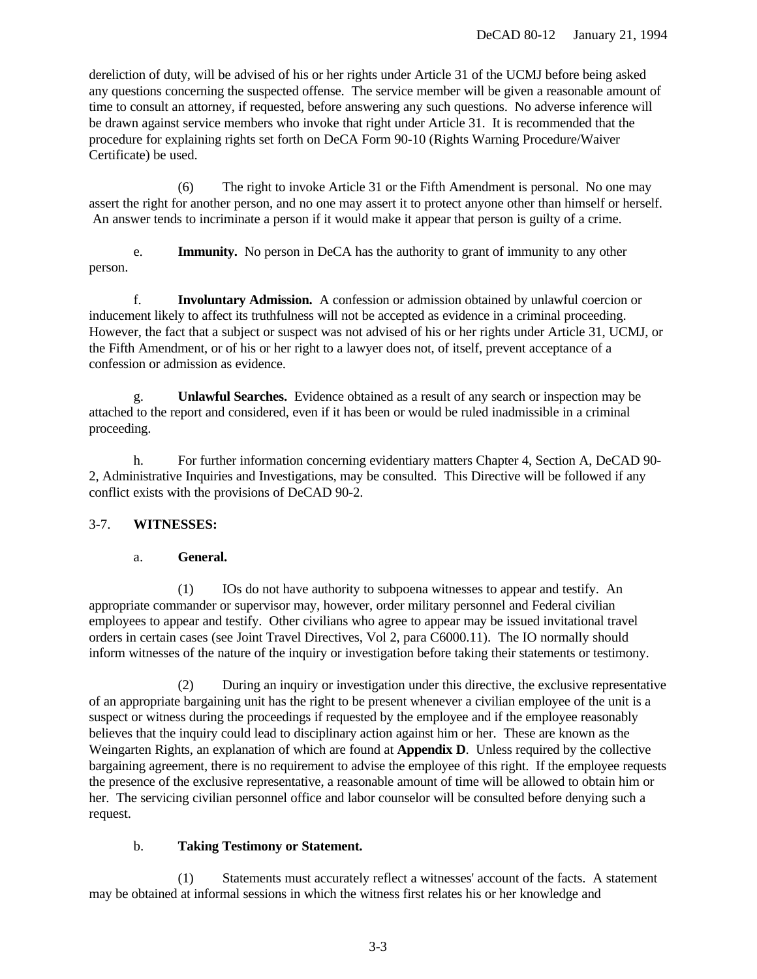<span id="page-9-0"></span>dereliction of duty, will be advised of his or her rights under Article 31 of the UCMJ before being asked any questions concerning the suspected offense. The service member will be given a reasonable amount of time to consult an attorney, if requested, before answering any such questions. No adverse inference will be drawn against service members who invoke that right under Article 31. It is recommended that the procedure for explaining rights set forth on DeCA Form 90-10 (Rights Warning Procedure/Waiver Certificate) be used.

(6) The right to invoke Article 31 or the Fifth Amendment is personal. No one may assert the right for another person, and no one may assert it to protect anyone other than himself or herself. An answer tends to incriminate a person if it would make it appear that person is guilty of a crime.

e. **Immunity.** No person in DeCA has the authority to grant of immunity to any other person.

f. **Involuntary Admission.** A confession or admission obtained by unlawful coercion or inducement likely to affect its truthfulness will not be accepted as evidence in a criminal proceeding. However, the fact that a subject or suspect was not advised of his or her rights under Article 31, UCMJ, or the Fifth Amendment, or of his or her right to a lawyer does not, of itself, prevent acceptance of a confession or admission as evidence.

g. **Unlawful Searches.** Evidence obtained as a result of any search or inspection may be attached to the report and considered, even if it has been or would be ruled inadmissible in a criminal proceeding.

h. For further information concerning evidentiary matters Chapter 4, Section A, DeCAD 90-2, Administrative Inquiries and Investigations, may be consulted. This Directive will be followed if any conflict exists with the provisions of DeCAD 90-2.

## 3-7. **WITNESSES:**

## a. **General.**

(1) IOs do not have authority to subpoena witnesses to appear and testify. An appropriate commander or supervisor may, however, order military personnel and Federal civilian employees to appear and testify. Other civilians who agree to appear may be issued invitational travel orders in certain cases (see Joint Travel Directives, Vol 2, para C6000.11). The IO normally should inform witnesses of the nature of the inquiry or investigation before taking their statements or testimony.

(2) During an inquiry or investigation under this directive, the exclusive representative of an appropriate bargaining unit has the right to be present whenever a civilian employee of the unit is a suspect or witness during the proceedings if requested by the employee and if the employee reasonably believes that the inquiry could lead to disciplinary action against him or her. These are known as the Weingarten Rights, an explanation of which are found at **[Appendix D](#page-16-0)**. Unless required by the collective bargaining agreement, there is no requirement to advise the employee of this right. If the employee requests the presence of the exclusive representative, a reasonable amount of time will be allowed to obtain him or her. The servicing civilian personnel office and labor counselor will be consulted before denying such a request.

## b. **Taking Testimony or Statement.**

(1) Statements must accurately reflect a witnesses' account of the facts. A statement may be obtained at informal sessions in which the witness first relates his or her knowledge and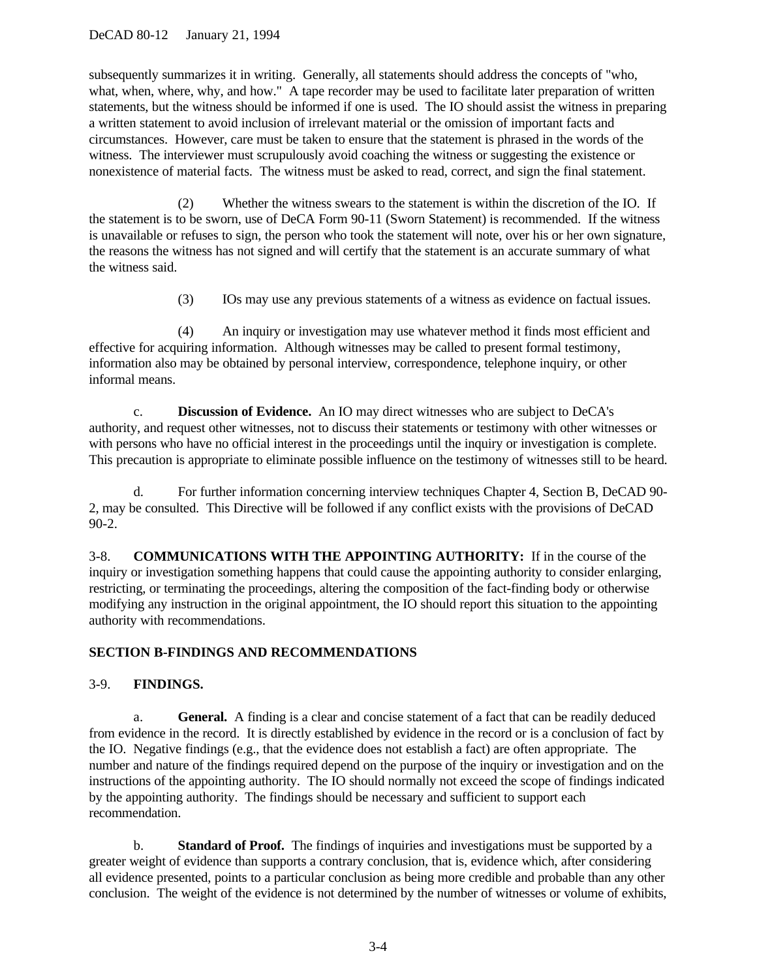## <span id="page-10-0"></span>DeCAD 80-12 January 21, 1994

subsequently summarizes it in writing. Generally, all statements should address the concepts of "who, what, when, where, why, and how." A tape recorder may be used to facilitate later preparation of written statements, but the witness should be informed if one is used. The IO should assist the witness in preparing a written statement to avoid inclusion of irrelevant material or the omission of important facts and circumstances. However, care must be taken to ensure that the statement is phrased in the words of the witness. The interviewer must scrupulously avoid coaching the witness or suggesting the existence or nonexistence of material facts. The witness must be asked to read, correct, and sign the final statement.

(2) Whether the witness swears to the statement is within the discretion of the IO. If the statement is to be sworn, use of DeCA Form 90-11 (Sworn Statement) is recommended. If the witness is unavailable or refuses to sign, the person who took the statement will note, over his or her own signature, the reasons the witness has not signed and will certify that the statement is an accurate summary of what the witness said.

(3) IOs may use any previous statements of a witness as evidence on factual issues.

(4) An inquiry or investigation may use whatever method it finds most efficient and effective for acquiring information. Although witnesses may be called to present formal testimony, information also may be obtained by personal interview, correspondence, telephone inquiry, or other informal means.

c. **Discussion of Evidence.** An IO may direct witnesses who are subject to DeCA's authority, and request other witnesses, not to discuss their statements or testimony with other witnesses or with persons who have no official interest in the proceedings until the inquiry or investigation is complete. This precaution is appropriate to eliminate possible influence on the testimony of witnesses still to be heard.

d. For further information concerning interview techniques Chapter 4, Section B, DeCAD 90- 2, may be consulted. This Directive will be followed if any conflict exists with the provisions of DeCAD 90-2.

3-8. **COMMUNICATIONS WITH THE APPOINTING AUTHORITY:** If in the course of the inquiry or investigation something happens that could cause the appointing authority to consider enlarging, restricting, or terminating the proceedings, altering the composition of the fact-finding body or otherwise modifying any instruction in the original appointment, the IO should report this situation to the appointing authority with recommendations.

## **SECTION B-FINDINGS AND RECOMMENDATIONS**

## 3-9. **FINDINGS.**

a. **General.** A finding is a clear and concise statement of a fact that can be readily deduced from evidence in the record. It is directly established by evidence in the record or is a conclusion of fact by the IO. Negative findings (e.g., that the evidence does not establish a fact) are often appropriate. The number and nature of the findings required depend on the purpose of the inquiry or investigation and on the instructions of the appointing authority. The IO should normally not exceed the scope of findings indicated by the appointing authority. The findings should be necessary and sufficient to support each recommendation.

b. **Standard of Proof.** The findings of inquiries and investigations must be supported by a greater weight of evidence than supports a contrary conclusion, that is, evidence which, after considering all evidence presented, points to a particular conclusion as being more credible and probable than any other conclusion. The weight of the evidence is not determined by the number of witnesses or volume of exhibits,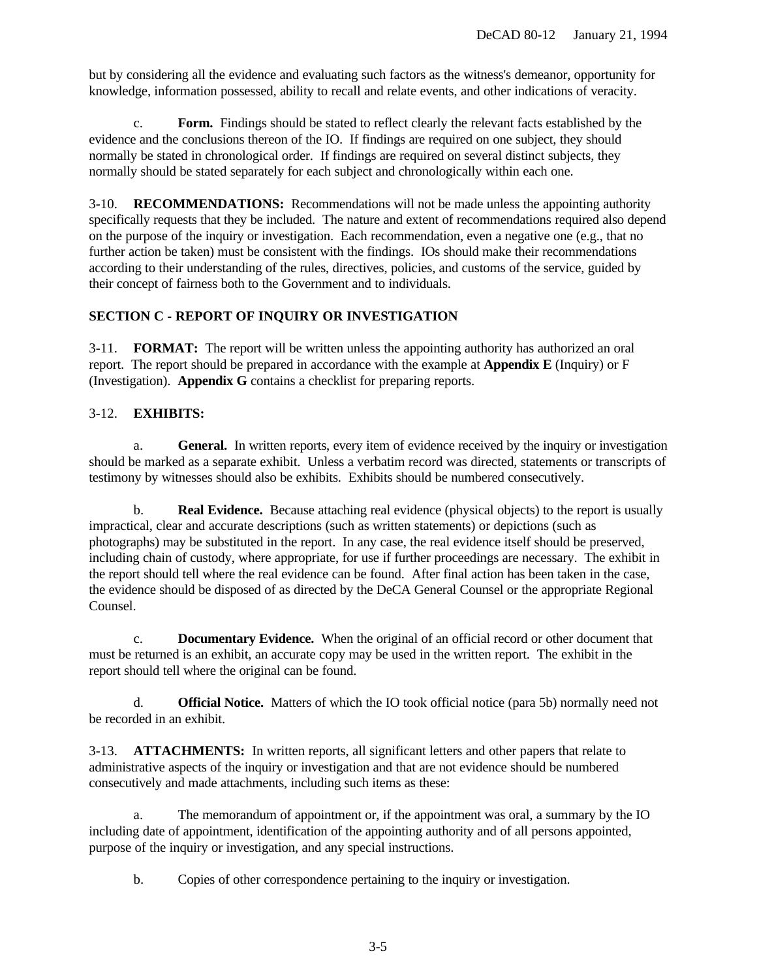<span id="page-11-0"></span>but by considering all the evidence and evaluating such factors as the witness's demeanor, opportunity for knowledge, information possessed, ability to recall and relate events, and other indications of veracity.

c. **Form.** Findings should be stated to reflect clearly the relevant facts established by the evidence and the conclusions thereon of the IO. If findings are required on one subject, they should normally be stated in chronological order. If findings are required on several distinct subjects, they normally should be stated separately for each subject and chronologically within each one.

3-10. **RECOMMENDATIONS:** Recommendations will not be made unless the appointing authority specifically requests that they be included. The nature and extent of recommendations required also depend on the purpose of the inquiry or investigation. Each recommendation, even a negative one (e.g., that no further action be taken) must be consistent with the findings. IOs should make their recommendations according to their understanding of the rules, directives, policies, and customs of the service, guided by their concept of fairness both to the Government and to individuals.

## **SECTION C - REPORT OF INQUIRY OR INVESTIGATION**

3-11. **FORMAT:** The report will be written unless the appointing authority has authorized an oral report. The report should be prepared in accordance with the example at **[Appendix E](#page-21-0)** (Inquiry) or F (Investigation). **[Appendix G](#page-23-0)** contains a checklist for preparing reports.

## 3-12. **EXHIBITS:**

a. **General.** In written reports, every item of evidence received by the inquiry or investigation should be marked as a separate exhibit. Unless a verbatim record was directed, statements or transcripts of testimony by witnesses should also be exhibits. Exhibits should be numbered consecutively.

b. **Real Evidence.** Because attaching real evidence (physical objects) to the report is usually impractical, clear and accurate descriptions (such as written statements) or depictions (such as photographs) may be substituted in the report. In any case, the real evidence itself should be preserved, including chain of custody, where appropriate, for use if further proceedings are necessary. The exhibit in the report should tell where the real evidence can be found. After final action has been taken in the case, the evidence should be disposed of as directed by the DeCA General Counsel or the appropriate Regional Counsel.

c. **Documentary Evidence.** When the original of an official record or other document that must be returned is an exhibit, an accurate copy may be used in the written report. The exhibit in the report should tell where the original can be found.

d. **Official Notice.** Matters of which the IO took official notice (para 5b) normally need not be recorded in an exhibit.

3-13. **ATTACHMENTS:** In written reports, all significant letters and other papers that relate to administrative aspects of the inquiry or investigation and that are not evidence should be numbered consecutively and made attachments, including such items as these:

a. The memorandum of appointment or, if the appointment was oral, a summary by the IO including date of appointment, identification of the appointing authority and of all persons appointed, purpose of the inquiry or investigation, and any special instructions.

b. Copies of other correspondence pertaining to the inquiry or investigation.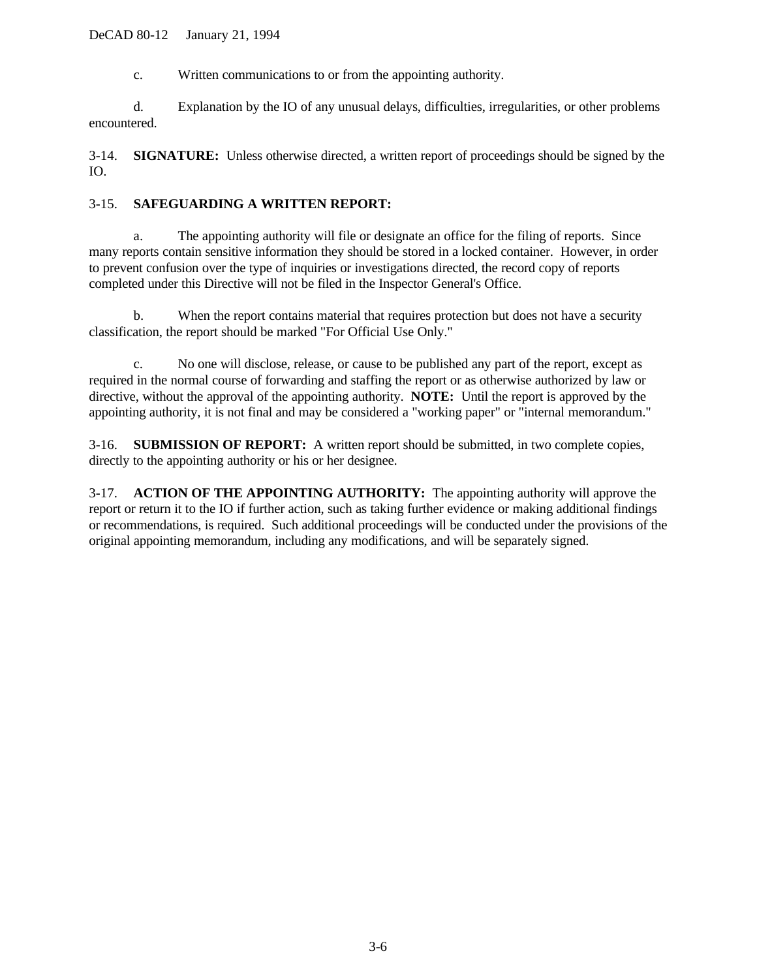#### <span id="page-12-0"></span>DeCAD 80-12 January 21, 1994

c. Written communications to or from the appointing authority.

d. Explanation by the IO of any unusual delays, difficulties, irregularities, or other problems encountered.

3-14. **SIGNATURE:** Unless otherwise directed, a written report of proceedings should be signed by the IO.

## 3-15. **SAFEGUARDING A WRITTEN REPORT:**

a. The appointing authority will file or designate an office for the filing of reports. Since many reports contain sensitive information they should be stored in a locked container. However, in order to prevent confusion over the type of inquiries or investigations directed, the record copy of reports completed under this Directive will not be filed in the Inspector General's Office.

b. When the report contains material that requires protection but does not have a security classification, the report should be marked "For Official Use Only."

c. No one will disclose, release, or cause to be published any part of the report, except as required in the normal course of forwarding and staffing the report or as otherwise authorized by law or directive, without the approval of the appointing authority. **NOTE:** Until the report is approved by the appointing authority, it is not final and may be considered a "working paper" or "internal memorandum."

3-16. **SUBMISSION OF REPORT:** A written report should be submitted, in two complete copies, directly to the appointing authority or his or her designee.

3-17. **ACTION OF THE APPOINTING AUTHORITY:** The appointing authority will approve the report or return it to the IO if further action, such as taking further evidence or making additional findings or recommendations, is required. Such additional proceedings will be conducted under the provisions of the original appointing memorandum, including any modifications, and will be separately signed.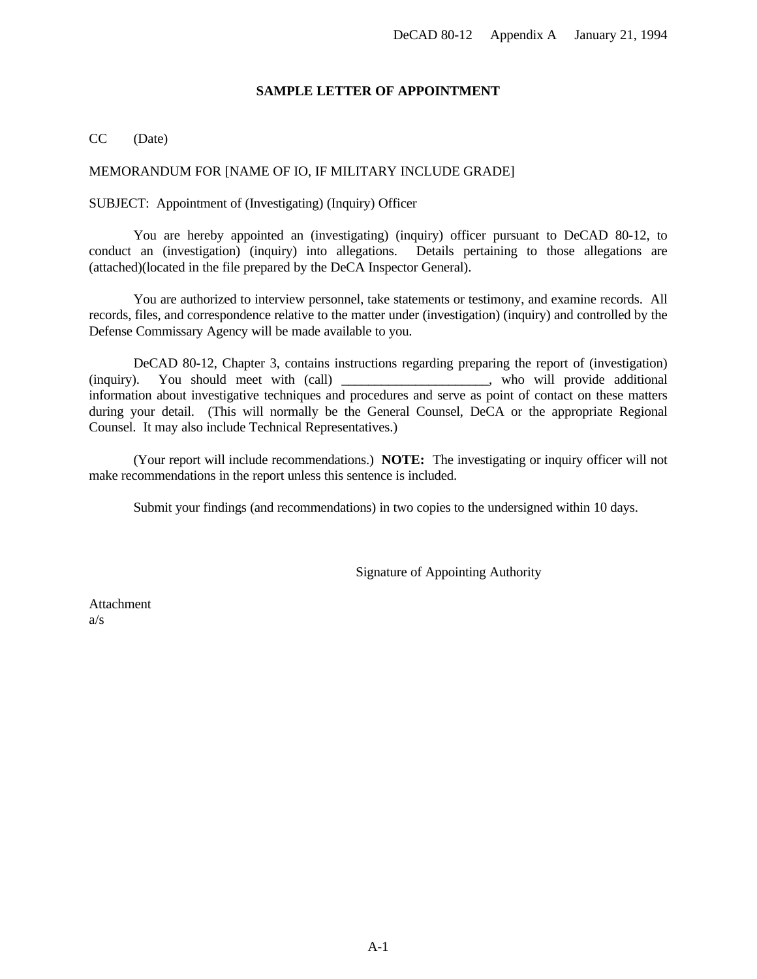## **SAMPLE LETTER OF APPOINTMENT**

## <span id="page-13-0"></span>CC (Date)

## MEMORANDUM FOR [NAME OF IO, IF MILITARY INCLUDE GRADE]

## SUBJECT: Appointment of (Investigating) (Inquiry) Officer

You are hereby appointed an (investigating) (inquiry) officer pursuant to DeCAD 80-12, to conduct an (investigation) (inquiry) into allegations. Details pertaining to those allegations are (attached)(located in the file prepared by the DeCA Inspector General).

You are authorized to interview personnel, take statements or testimony, and examine records. All records, files, and correspondence relative to the matter under (investigation) (inquiry) and controlled by the Defense Commissary Agency will be made available to you.

DeCAD 80-12, Chapter 3, contains instructions regarding preparing the report of (investigation) (inquiry). You should meet with (call) \_\_\_\_\_\_\_\_\_\_\_\_\_\_\_\_\_\_\_\_\_\_, who will provide additional information about investigative techniques and procedures and serve as point of contact on these matters during your detail. (This will normally be the General Counsel, DeCA or the appropriate Regional Counsel. It may also include Technical Representatives.)

(Your report will include recommendations.) **NOTE:** The investigating or inquiry officer will not make recommendations in the report unless this sentence is included.

Submit your findings (and recommendations) in two copies to the undersigned within 10 days.

Signature of Appointing Authority

**Attachment** a/s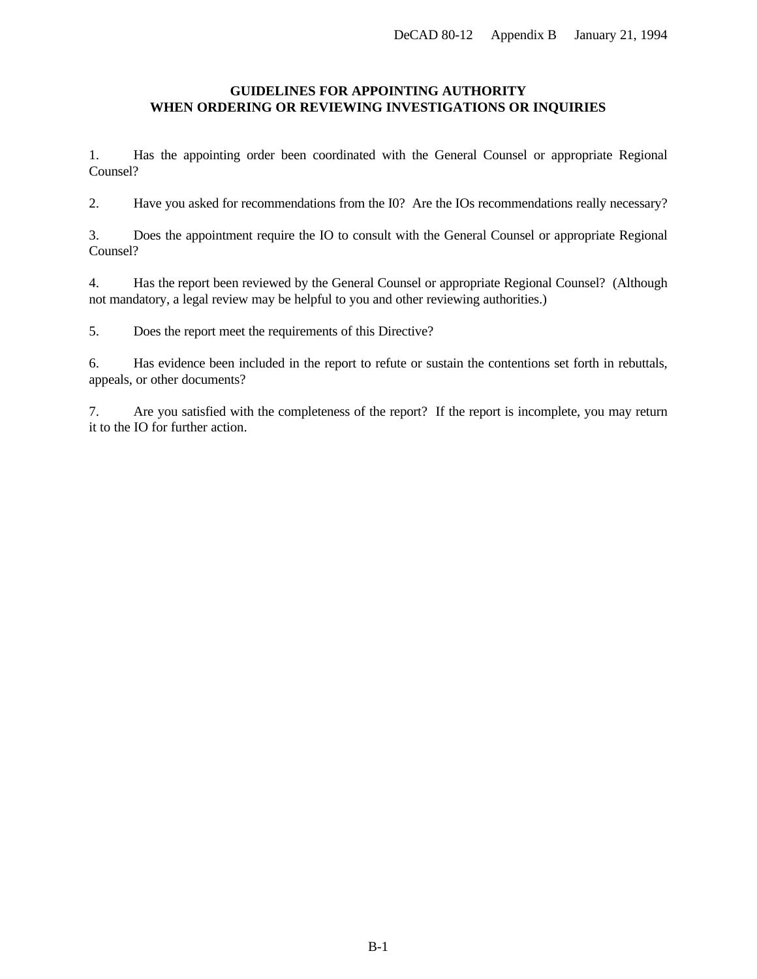## <span id="page-14-0"></span>**GUIDELINES FOR APPOINTING AUTHORITY WHEN ORDERING OR REVIEWING INVESTIGATIONS OR INQUIRIES**

1. Has the appointing order been coordinated with the General Counsel or appropriate Regional Counsel?

2. Have you asked for recommendations from the I0? Are the IOs recommendations really necessary?

3. Does the appointment require the IO to consult with the General Counsel or appropriate Regional Counsel?

4. Has the report been reviewed by the General Counsel or appropriate Regional Counsel? (Although not mandatory, a legal review may be helpful to you and other reviewing authorities.)

5. Does the report meet the requirements of this Directive?

6. Has evidence been included in the report to refute or sustain the contentions set forth in rebuttals, appeals, or other documents?

7. Are you satisfied with the completeness of the report? If the report is incomplete, you may return it to the IO for further action.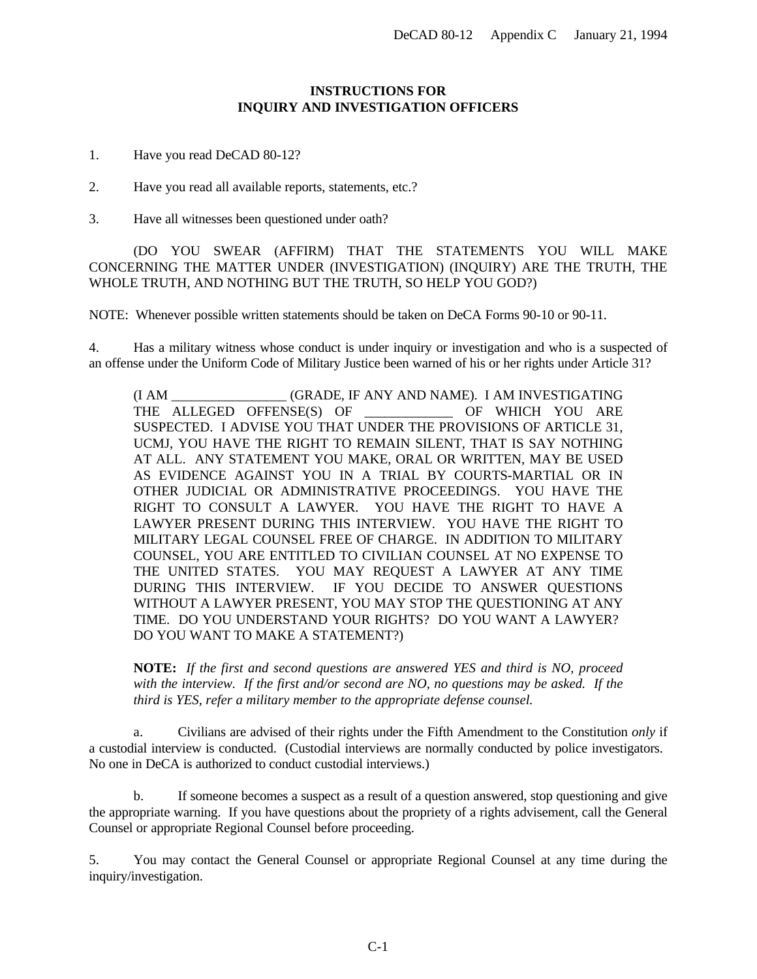## **INSTRUCTIONS FOR INQUIRY AND INVESTIGATION OFFICERS**

- <span id="page-15-0"></span>1. Have you read DeCAD 80-12?
- 2. Have you read all available reports, statements, etc.?
- 3. Have all witnesses been questioned under oath?

(DO YOU SWEAR (AFFIRM) THAT THE STATEMENTS YOU WILL MAKE CONCERNING THE MATTER UNDER (INVESTIGATION) (INQUIRY) ARE THE TRUTH, THE WHOLE TRUTH, AND NOTHING BUT THE TRUTH, SO HELP YOU GOD?)

NOTE: Whenever possible written statements should be taken on DeCA Forms 90-10 or 90-11.

4. Has a military witness whose conduct is under inquiry or investigation and who is a suspected of an offense under the Uniform Code of Military Justice been warned of his or her rights under Article 31?

(I AM \_\_\_\_\_\_\_\_\_\_\_\_\_\_\_\_\_ (GRADE, IF ANY AND NAME). I AM INVESTIGATING THE ALLEGED OFFENSE(S) OF **THE OF WHICH YOU ARE** SUSPECTED. I ADVISE YOU THAT UNDER THE PROVISIONS OF ARTICLE 31, UCMJ, YOU HAVE THE RIGHT TO REMAIN SILENT, THAT IS SAY NOTHING AT ALL. ANY STATEMENT YOU MAKE, ORAL OR WRITTEN, MAY BE USED AS EVIDENCE AGAINST YOU IN A TRIAL BY COURTS-MARTIAL OR IN OTHER JUDICIAL OR ADMINISTRATIVE PROCEEDINGS. YOU HAVE THE RIGHT TO CONSULT A LAWYER. YOU HAVE THE RIGHT TO HAVE A LAWYER PRESENT DURING THIS INTERVIEW. YOU HAVE THE RIGHT TO MILITARY LEGAL COUNSEL FREE OF CHARGE. IN ADDITION TO MILITARY COUNSEL, YOU ARE ENTITLED TO CIVILIAN COUNSEL AT NO EXPENSE TO THE UNITED STATES. YOU MAY REQUEST A LAWYER AT ANY TIME DURING THIS INTERVIEW. IF YOU DECIDE TO ANSWER QUESTIONS WITHOUT A LAWYER PRESENT, YOU MAY STOP THE QUESTIONING AT ANY TIME. DO YOU UNDERSTAND YOUR RIGHTS? DO YOU WANT A LAWYER? DO YOU WANT TO MAKE A STATEMENT?)

**NOTE:** *If the first and second questions are answered YES and third is NO, proceed with the interview. If the first and/or second are NO, no questions may be asked. If the third is YES, refer a military member to the appropriate defense counsel.*

a. Civilians are advised of their rights under the Fifth Amendment to the Constitution *only* if a custodial interview is conducted. (Custodial interviews are normally conducted by police investigators. No one in DeCA is authorized to conduct custodial interviews.)

b. If someone becomes a suspect as a result of a question answered, stop questioning and give the appropriate warning. If you have questions about the propriety of a rights advisement, call the General Counsel or appropriate Regional Counsel before proceeding.

5. You may contact the General Counsel or appropriate Regional Counsel at any time during the inquiry/investigation.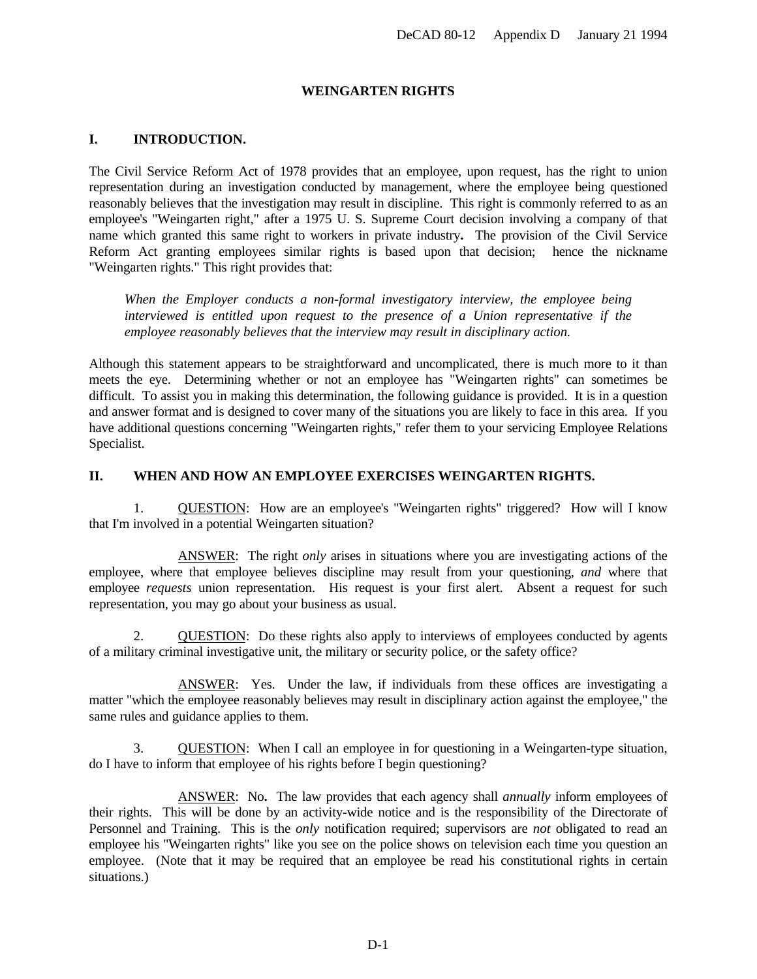#### **WEINGARTEN RIGHTS**

## <span id="page-16-0"></span>**I. INTRODUCTION.**

The Civil Service Reform Act of 1978 provides that an employee, upon request, has the right to union representation during an investigation conducted by management, where the employee being questioned reasonably believes that the investigation may result in discipline. This right is commonly referred to as an employee's "Weingarten right," after a 1975 U. S. Supreme Court decision involving a company of that name which granted this same right to workers in private industry**.** The provision of the Civil Service Reform Act granting employees similar rights is based upon that decision; hence the nickname "Weingarten rights." This right provides that:

*When the Employer conducts a non-formal investigatory interview, the employee being interviewed is entitled upon request to the presence of a Union representative if the employee reasonably believes that the interview may result in disciplinary action.*

Although this statement appears to be straightforward and uncomplicated, there is much more to it than meets the eye. Determining whether or not an employee has "Weingarten rights" can sometimes be difficult. To assist you in making this determination, the following guidance is provided. It is in a question and answer format and is designed to cover many of the situations you are likely to face in this area. If you have additional questions concerning "Weingarten rights," refer them to your servicing Employee Relations Specialist.

#### **II. WHEN AND HOW AN EMPLOYEE EXERCISES WEINGARTEN RIGHTS.**

1. QUESTION: How are an employee's "Weingarten rights" triggered? How will I know that I'm involved in a potential Weingarten situation?

ANSWER: The right *only* arises in situations where you are investigating actions of the employee, where that employee believes discipline may result from your questioning, *and* where that employee *requests* union representation. His request is your first alert. Absent a request for such representation, you may go about your business as usual.

2. QUESTION: Do these rights also apply to interviews of employees conducted by agents of a military criminal investigative unit, the military or security police, or the safety office?

ANSWER: Yes. Under the law, if individuals from these offices are investigating a matter "which the employee reasonably believes may result in disciplinary action against the employee," the same rules and guidance applies to them.

3. QUESTION: When I call an employee in for questioning in a Weingarten-type situation, do I have to inform that employee of his rights before I begin questioning?

ANSWER: No**.** The law provides that each agency shall *annually* inform employees of their rights. This will be done by an activity-wide notice and is the responsibility of the Directorate of Personnel and Training. This is the *only* notification required; supervisors are *not* obligated to read an employee his "Weingarten rights" like you see on the police shows on television each time you question an employee. (Note that it may be required that an employee be read his constitutional rights in certain situations.)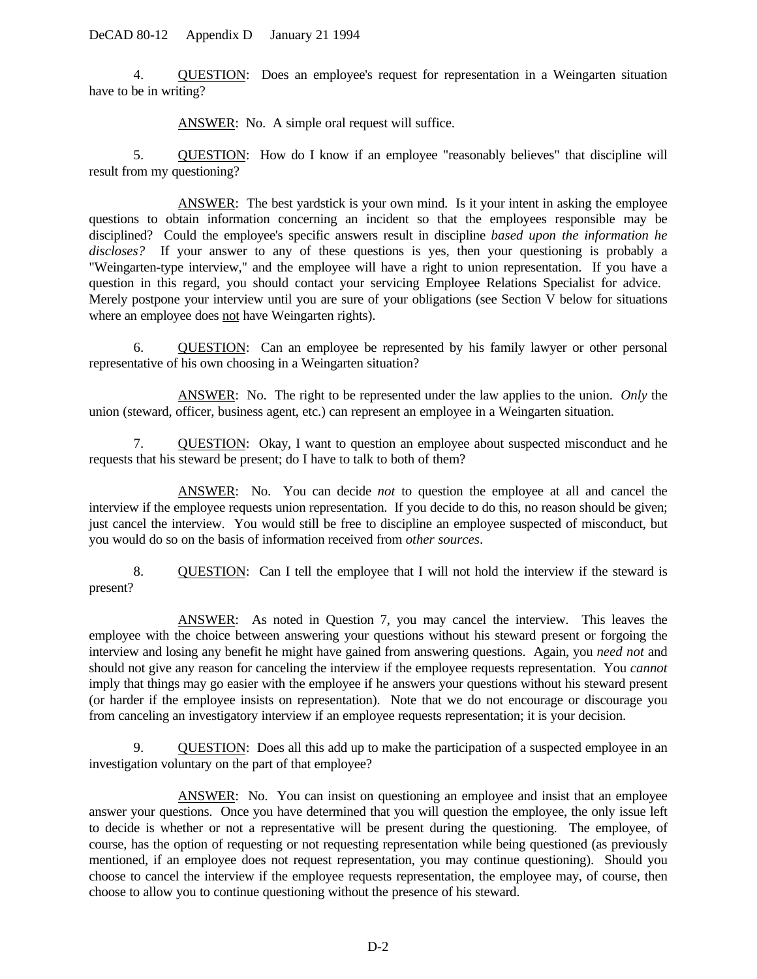4. QUESTION: Does an employee's request for representation in a Weingarten situation have to be in writing?

ANSWER: No. A simple oral request will suffice.

5. QUESTION: How do I know if an employee "reasonably believes" that discipline will result from my questioning?

ANSWER: The best yardstick is your own mind. Is it your intent in asking the employee questions to obtain information concerning an incident so that the employees responsible may be disciplined? Could the employee's specific answers result in discipline *based upon the information he discloses?* If your answer to any of these questions is yes, then your questioning is probably a "Weingarten-type interview," and the employee will have a right to union representation. If you have a question in this regard, you should contact your servicing Employee Relations Specialist for advice. Merely postpone your interview until you are sure of your obligations (see Section V below for situations where an employee does not have Weingarten rights).

6. QUESTION: Can an employee be represented by his family lawyer or other personal representative of his own choosing in a Weingarten situation?

ANSWER: No. The right to be represented under the law applies to the union. *Only* the union (steward, officer, business agent, etc.) can represent an employee in a Weingarten situation.

7. QUESTION: Okay, I want to question an employee about suspected misconduct and he requests that his steward be present; do I have to talk to both of them?

ANSWER: No. You can decide *not* to question the employee at all and cancel the interview if the employee requests union representation. If you decide to do this, no reason should be given; just cancel the interview. You would still be free to discipline an employee suspected of misconduct, but you would do so on the basis of information received from *other sources*.

8. QUESTION: Can I tell the employee that I will not hold the interview if the steward is present?

ANSWER: As noted in Question 7, you may cancel the interview. This leaves the employee with the choice between answering your questions without his steward present or forgoing the interview and losing any benefit he might have gained from answering questions. Again, you *need not* and should not give any reason for canceling the interview if the employee requests representation. You *cannot* imply that things may go easier with the employee if he answers your questions without his steward present (or harder if the employee insists on representation). Note that we do not encourage or discourage you from canceling an investigatory interview if an employee requests representation; it is your decision.

9. QUESTION: Does all this add up to make the participation of a suspected employee in an investigation voluntary on the part of that employee?

ANSWER: No. You can insist on questioning an employee and insist that an employee answer your questions. Once you have determined that you will question the employee, the only issue left to decide is whether or not a representative will be present during the questioning. The employee, of course, has the option of requesting or not requesting representation while being questioned (as previously mentioned, if an employee does not request representation, you may continue questioning). Should you choose to cancel the interview if the employee requests representation, the employee may, of course, then choose to allow you to continue questioning without the presence of his steward.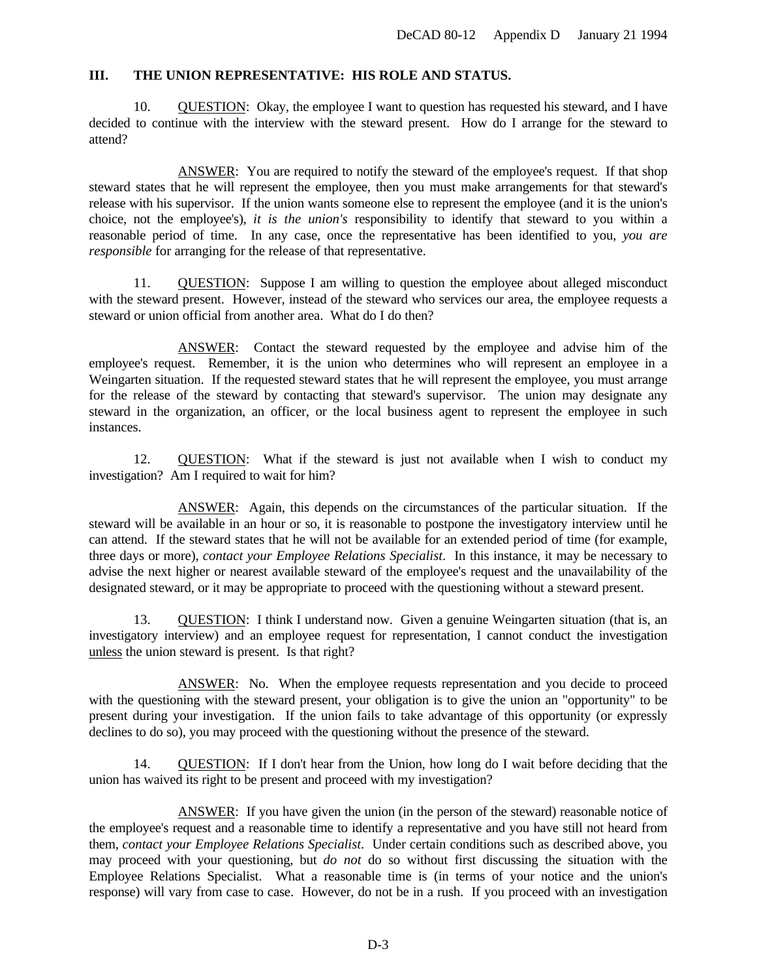## **III. THE UNION REPRESENTATIVE: HIS ROLE AND STATUS.**

10. QUESTION: Okay, the employee I want to question has requested his steward, and I have decided to continue with the interview with the steward present. How do I arrange for the steward to attend?

ANSWER: You are required to notify the steward of the employee's request. If that shop steward states that he will represent the employee, then you must make arrangements for that steward's release with his supervisor. If the union wants someone else to represent the employee (and it is the union's choice, not the employee's), *it is the union's* responsibility to identify that steward to you within a reasonable period of time. In any case, once the representative has been identified to you, *you are responsible* for arranging for the release of that representative.

11. QUESTION: Suppose I am willing to question the employee about alleged misconduct with the steward present. However, instead of the steward who services our area, the employee requests a steward or union official from another area. What do I do then?

ANSWER: Contact the steward requested by the employee and advise him of the employee's request. Remember, it is the union who determines who will represent an employee in a Weingarten situation. If the requested steward states that he will represent the employee, you must arrange for the release of the steward by contacting that steward's supervisor. The union may designate any steward in the organization, an officer, or the local business agent to represent the employee in such instances.

12. QUESTION: What if the steward is just not available when I wish to conduct my investigation? Am I required to wait for him?

ANSWER: Again, this depends on the circumstances of the particular situation. If the steward will be available in an hour or so, it is reasonable to postpone the investigatory interview until he can attend. If the steward states that he will not be available for an extended period of time (for example, three days or more), *contact your Employee Relations Specialist*. In this instance, it may be necessary to advise the next higher or nearest available steward of the employee's request and the unavailability of the designated steward, or it may be appropriate to proceed with the questioning without a steward present.

13. QUESTION: I think I understand now. Given a genuine Weingarten situation (that is, an investigatory interview) and an employee request for representation, I cannot conduct the investigation unless the union steward is present. Is that right?

ANSWER: No. When the employee requests representation and you decide to proceed with the questioning with the steward present, your obligation is to give the union an "opportunity" to be present during your investigation. If the union fails to take advantage of this opportunity (or expressly declines to do so), you may proceed with the questioning without the presence of the steward.

14. QUESTION: If I don't hear from the Union, how long do I wait before deciding that the union has waived its right to be present and proceed with my investigation?

ANSWER: If you have given the union (in the person of the steward) reasonable notice of the employee's request and a reasonable time to identify a representative and you have still not heard from them, *contact your Employee Relations Specialist*. Under certain conditions such as described above, you may proceed with your questioning, but *do not* do so without first discussing the situation with the Employee Relations Specialist. What a reasonable time is (in terms of your notice and the union's response) will vary from case to case. However, do not be in a rush. If you proceed with an investigation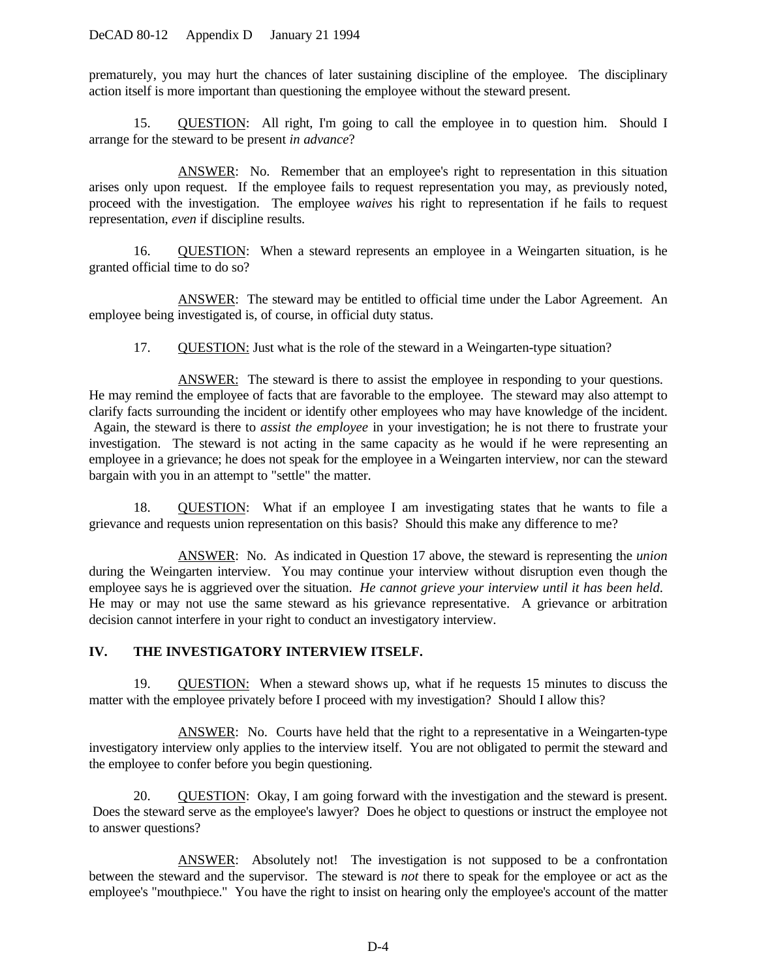prematurely, you may hurt the chances of later sustaining discipline of the employee. The disciplinary action itself is more important than questioning the employee without the steward present.

15. QUESTION: All right, I'm going to call the employee in to question him. Should I arrange for the steward to be present *in advance*?

ANSWER: No. Remember that an employee's right to representation in this situation arises only upon request. If the employee fails to request representation you may, as previously noted, proceed with the investigation. The employee *waives* his right to representation if he fails to request representation, *even* if discipline results.

16. QUESTION: When a steward represents an employee in a Weingarten situation, is he granted official time to do so?

ANSWER: The steward may be entitled to official time under the Labor Agreement. An employee being investigated is, of course, in official duty status.

17. QUESTION: Just what is the role of the steward in a Weingarten-type situation?

ANSWER: The steward is there to assist the employee in responding to your questions. He may remind the employee of facts that are favorable to the employee. The steward may also attempt to clarify facts surrounding the incident or identify other employees who may have knowledge of the incident. Again, the steward is there to *assist the employee* in your investigation; he is not there to frustrate your investigation. The steward is not acting in the same capacity as he would if he were representing an employee in a grievance; he does not speak for the employee in a Weingarten interview, nor can the steward bargain with you in an attempt to "settle" the matter.

18. QUESTION: What if an employee I am investigating states that he wants to file a grievance and requests union representation on this basis? Should this make any difference to me?

ANSWER: No. As indicated in Question 17 above, the steward is representing the *union* during the Weingarten interview. You may continue your interview without disruption even though the employee says he is aggrieved over the situation. *He cannot grieve your interview until it has been held*. He may or may not use the same steward as his grievance representative. A grievance or arbitration decision cannot interfere in your right to conduct an investigatory interview.

## **IV. THE INVESTIGATORY INTERVIEW ITSELF.**

19. QUESTION: When a steward shows up, what if he requests 15 minutes to discuss the matter with the employee privately before I proceed with my investigation? Should I allow this?

ANSWER: No. Courts have held that the right to a representative in a Weingarten-type investigatory interview only applies to the interview itself. You are not obligated to permit the steward and the employee to confer before you begin questioning.

20. QUESTION: Okay, I am going forward with the investigation and the steward is present. Does the steward serve as the employee's lawyer? Does he object to questions or instruct the employee not to answer questions?

ANSWER: Absolutely not! The investigation is not supposed to be a confrontation between the steward and the supervisor. The steward is *not* there to speak for the employee or act as the employee's "mouthpiece." You have the right to insist on hearing only the employee's account of the matter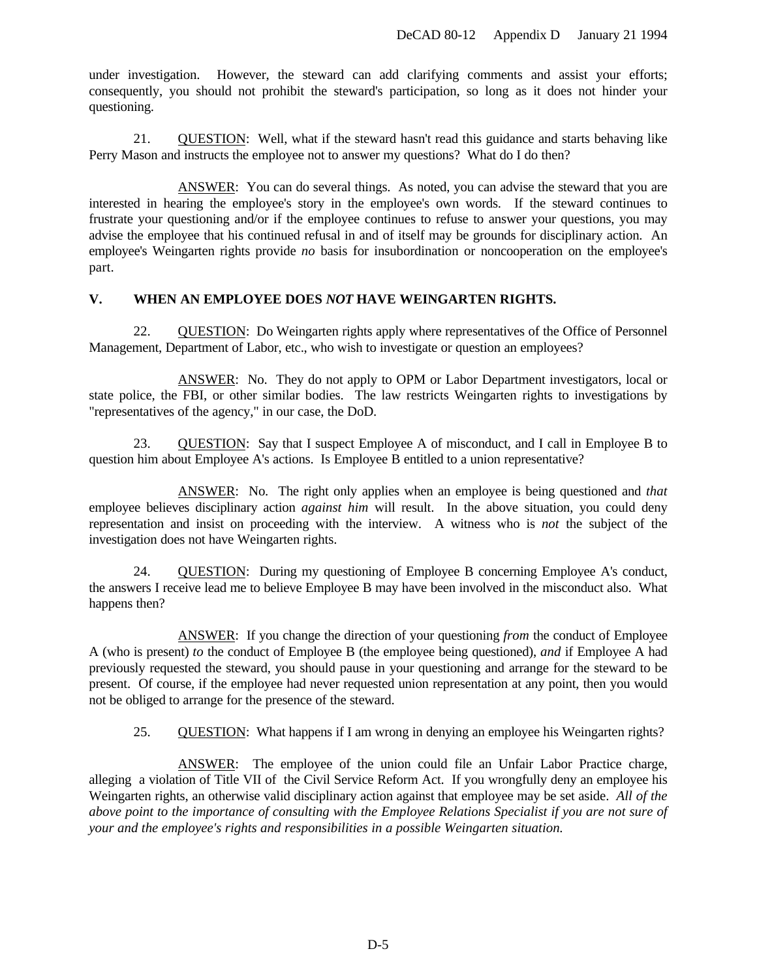under investigation. However, the steward can add clarifying comments and assist your efforts; consequently, you should not prohibit the steward's participation, so long as it does not hinder your questioning.

21. QUESTION: Well, what if the steward hasn't read this guidance and starts behaving like Perry Mason and instructs the employee not to answer my questions? What do I do then?

ANSWER: You can do several things. As noted, you can advise the steward that you are interested in hearing the employee's story in the employee's own words. If the steward continues to frustrate your questioning and/or if the employee continues to refuse to answer your questions, you may advise the employee that his continued refusal in and of itself may be grounds for disciplinary action. An employee's Weingarten rights provide *no* basis for insubordination or noncooperation on the employee's part.

## **V. WHEN AN EMPLOYEE DOES** *NOT* **HAVE WEINGARTEN RIGHTS.**

22. QUESTION: Do Weingarten rights apply where representatives of the Office of Personnel Management, Department of Labor, etc., who wish to investigate or question an employees?

ANSWER: No. They do not apply to OPM or Labor Department investigators, local or state police, the FBI, or other similar bodies. The law restricts Weingarten rights to investigations by "representatives of the agency," in our case, the DoD.

23. QUESTION: Say that I suspect Employee A of misconduct, and I call in Employee B to question him about Employee A's actions. Is Employee B entitled to a union representative?

ANSWER: No. The right only applies when an employee is being questioned and *that* employee believes disciplinary action *against him* will result. In the above situation, you could deny representation and insist on proceeding with the interview. A witness who is *not* the subject of the investigation does not have Weingarten rights.

24. QUESTION: During my questioning of Employee B concerning Employee A's conduct, the answers I receive lead me to believe Employee B may have been involved in the misconduct also. What happens then?

ANSWER: If you change the direction of your questioning *from* the conduct of Employee A (who is present) *to* the conduct of Employee B (the employee being questioned), *and* if Employee A had previously requested the steward, you should pause in your questioning and arrange for the steward to be present. Of course, if the employee had never requested union representation at any point, then you would not be obliged to arrange for the presence of the steward.

25. QUESTION: What happens if I am wrong in denying an employee his Weingarten rights?

ANSWER: The employee of the union could file an Unfair Labor Practice charge, alleging a violation of Title VII of the Civil Service Reform Act. If you wrongfully deny an employee his Weingarten rights, an otherwise valid disciplinary action against that employee may be set aside. *All of the above point to the importance of consulting with the Employee Relations Specialist if you are not sure of your and the employee's rights and responsibilities in a possible Weingarten situation.*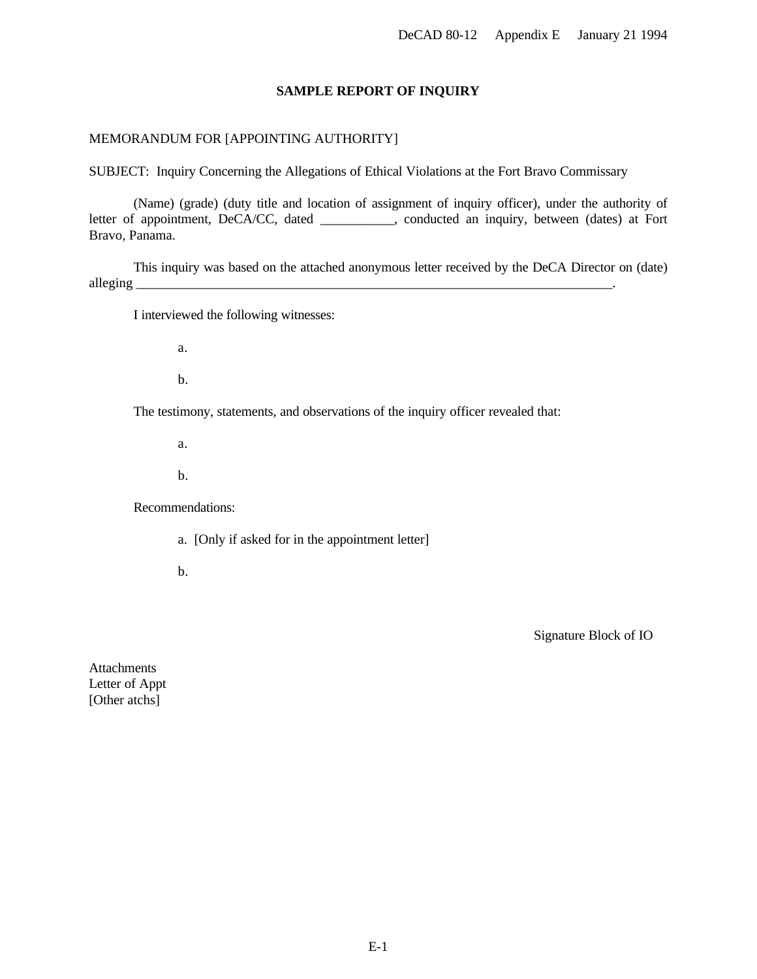#### **SAMPLE REPORT OF INQUIRY**

## <span id="page-21-0"></span>MEMORANDUM FOR [APPOINTING AUTHORITY]

SUBJECT: Inquiry Concerning the Allegations of Ethical Violations at the Fort Bravo Commissary

(Name) (grade) (duty title and location of assignment of inquiry officer), under the authority of letter of appointment, DeCA/CC, dated \_\_\_\_\_\_\_\_\_, conducted an inquiry, between (dates) at Fort Bravo, Panama.

This inquiry was based on the attached anonymous letter received by the DeCA Director on (date) alleging \_\_\_\_\_\_\_\_\_\_\_\_\_\_\_\_\_\_\_\_\_\_\_\_\_\_\_\_\_\_\_\_\_\_\_\_\_\_\_\_\_\_\_\_\_\_\_\_\_\_\_\_\_\_\_\_\_\_\_\_\_\_\_\_\_\_\_\_\_\_.

I interviewed the following witnesses:

a.

b.

The testimony, statements, and observations of the inquiry officer revealed that:

a.

b.

Recommendations:

a. [Only if asked for in the appointment letter]

b.

Signature Block of IO

Attachments Letter of Appt [Other atchs]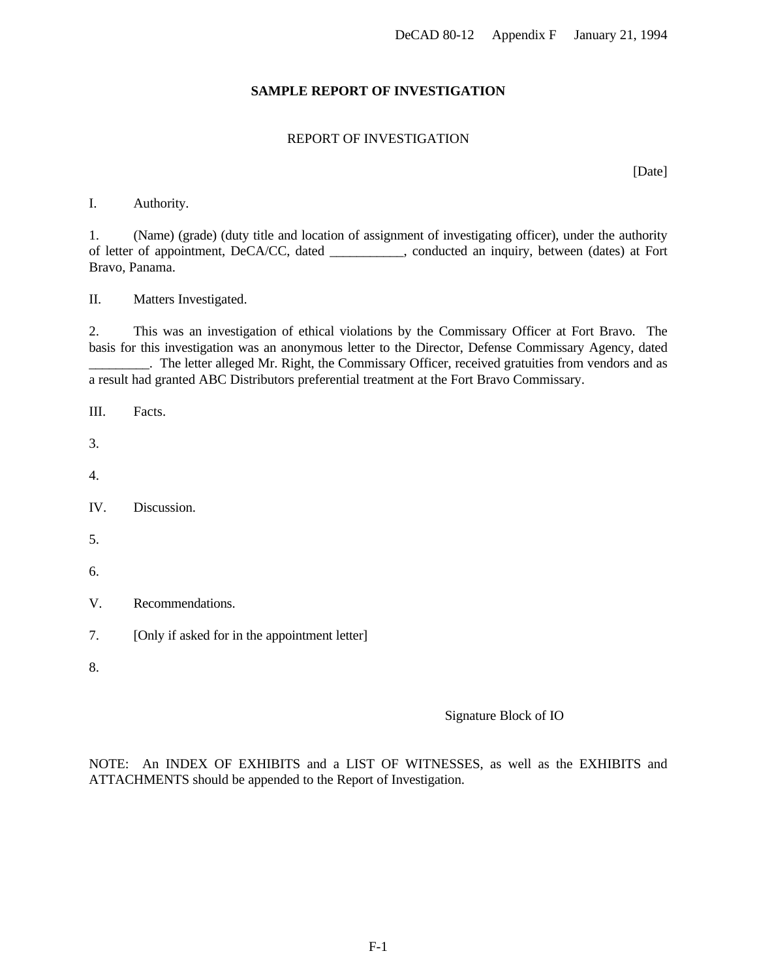## **SAMPLE REPORT OF INVESTIGATION**

## REPORT OF INVESTIGATION

[Date]

#### <span id="page-22-0"></span>I. Authority.

1. (Name) (grade) (duty title and location of assignment of investigating officer), under the authority of letter of appointment, DeCA/CC, dated \_\_\_\_\_\_\_\_\_\_\_, conducted an inquiry, between (dates) at Fort Bravo, Panama.

II. Matters Investigated.

2. This was an investigation of ethical violations by the Commissary Officer at Fort Bravo. The basis for this investigation was an anonymous letter to the Director, Defense Commissary Agency, dated \_\_\_\_\_\_\_\_\_. The letter alleged Mr. Right, the Commissary Officer, received gratuities from vendors and as a result had granted ABC Distributors preferential treatment at the Fort Bravo Commissary.

- III. Facts.
- 3.
- 4.
- IV. Discussion.
- 5.
- 6.
- V. Recommendations.
- 7. [Only if asked for in the appointment letter]
- 8.

#### Signature Block of IO

NOTE: An INDEX OF EXHIBITS and a LIST OF WITNESSES, as well as the EXHIBITS and ATTACHMENTS should be appended to the Report of Investigation.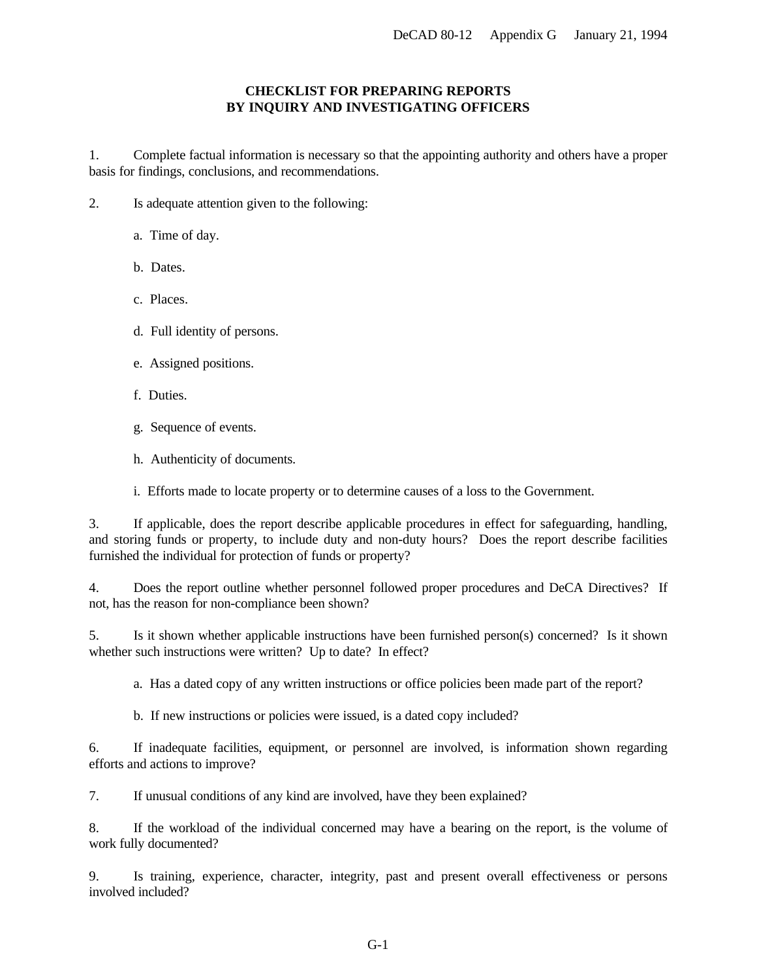## **CHECKLIST FOR PREPARING REPORTS BY INQUIRY AND INVESTIGATING OFFICERS**

<span id="page-23-0"></span>1. Complete factual information is necessary so that the appointing authority and others have a proper basis for findings, conclusions, and recommendations.

- 2. Is adequate attention given to the following:
	- a. Time of day.
	- b. Dates.
	- c. Places.
	- d. Full identity of persons.
	- e. Assigned positions.
	- f. Duties.
	- g. Sequence of events.
	- h. Authenticity of documents.

i. Efforts made to locate property or to determine causes of a loss to the Government.

3. If applicable, does the report describe applicable procedures in effect for safeguarding, handling, and storing funds or property, to include duty and non-duty hours? Does the report describe facilities furnished the individual for protection of funds or property?

4. Does the report outline whether personnel followed proper procedures and DeCA Directives? If not, has the reason for non-compliance been shown?

5. Is it shown whether applicable instructions have been furnished person(s) concerned? Is it shown whether such instructions were written? Up to date? In effect?

a. Has a dated copy of any written instructions or office policies been made part of the report?

b. If new instructions or policies were issued, is a dated copy included?

6. If inadequate facilities, equipment, or personnel are involved, is information shown regarding efforts and actions to improve?

7. If unusual conditions of any kind are involved, have they been explained?

8. If the workload of the individual concerned may have a bearing on the report, is the volume of work fully documented?

9. Is training, experience, character, integrity, past and present overall effectiveness or persons involved included?